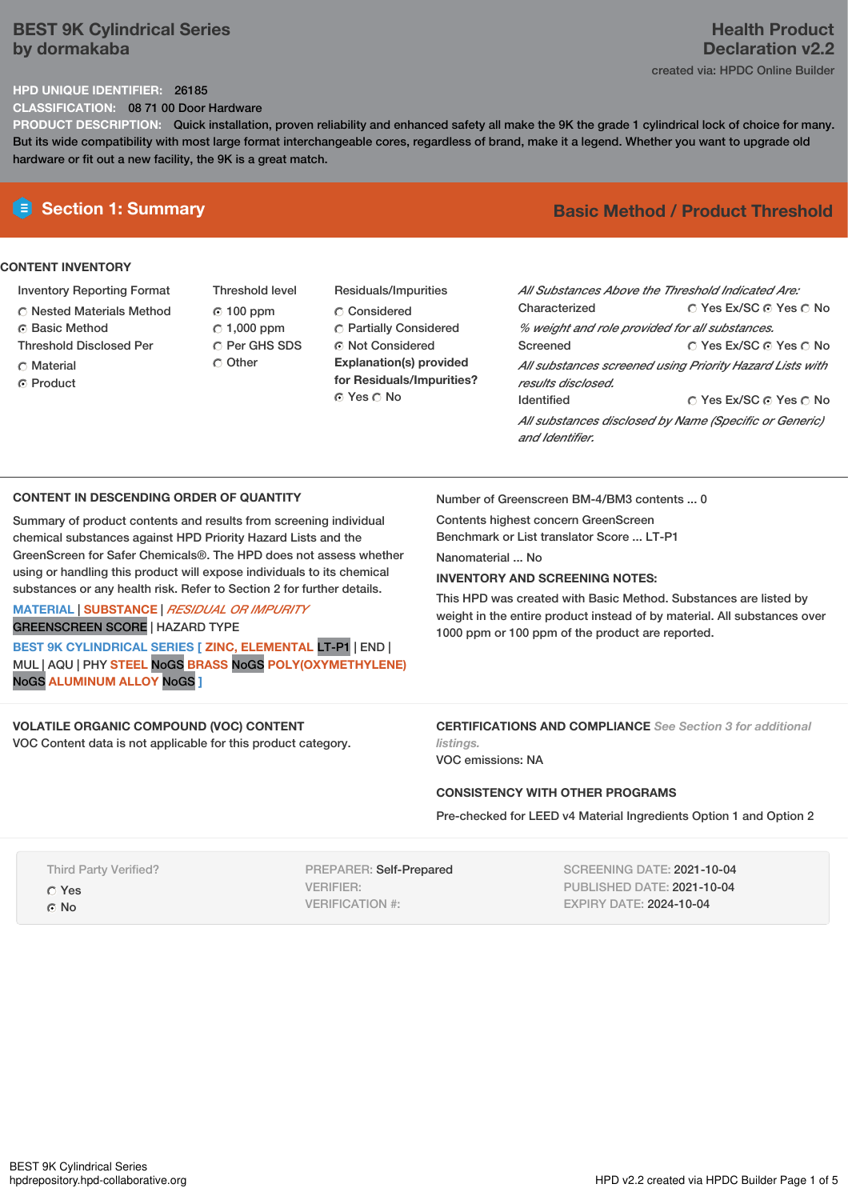# **BEST 9K Cylindrical Series by dormakaba**

# **Health Product Declaration v2.2** created via: HPDC Online Builder

# **HPD UNIQUE IDENTIFIER:** 26185

**CLASSIFICATION:** 08 71 00 Door Hardware

**PRODUCT DESCRIPTION:** Quick installation, proven reliability and enhanced safety all make the 9K the grade 1 cylindrical lock of choice for many. But its wide compatibility with most large format interchangeable cores, regardless of brand, make it a legend. Whether you want to upgrade old hardware or fit out a new facility, the 9K is a great match.

## **CONTENT INVENTORY**

- Inventory Reporting Format
- Nested Materials Method
- **C** Basic Method
- Threshold Disclosed Per
- C Material
- ⊙ Product
- Threshold level 100 ppm  $C$  1,000 ppm C Per GHS SDS C Other
- Residuals/Impurities C Considered Partially Considered ⊙ Not Considered **Explanation(s) provided for Residuals/Impurities?** ⊙ Yes O No

# **E** Section 1: Summary **Basic** Method / Product Threshold

| All Substances Above the Threshold Indicated Are:<br>Characterized             | ∩ Yes Ex/SC ∩ Yes ∩ No |  |  |  |  |
|--------------------------------------------------------------------------------|------------------------|--|--|--|--|
| % weight and role provided for all substances.                                 |                        |  |  |  |  |
| Screened                                                                       | ∩ Yes Ex/SC ∩ Yes ∩ No |  |  |  |  |
| All substances screened using Priority Hazard Lists with<br>results disclosed. |                        |  |  |  |  |
| <b>Identified</b>                                                              | ∩ Yes Ex/SC ∩ Yes ∩ No |  |  |  |  |
| All substances disclosed by Name (Specific or Generic)<br>and Identifier.      |                        |  |  |  |  |

# **CONTENT IN DESCENDING ORDER OF QUANTITY**

Summary of product contents and results from screening individual chemical substances against HPD Priority Hazard Lists and the GreenScreen for Safer Chemicals®. The HPD does not assess whether using or handling this product will expose individuals to its chemical substances or any health risk. Refer to Section 2 for further details.

# **MATERIAL** | **SUBSTANCE** | *RESIDUAL OR IMPURITY* GREENSCREEN SCORE | HAZARD TYPE

**BEST 9K CYLINDRICAL SERIES [ ZINC, ELEMENTAL** LT-P1 | END | MUL | AQU | PHY **STEEL** NoGS **BRASS** NoGS **POLY(OXYMETHYLENE)** NoGS **ALUMINUM ALLOY** NoGS **]**

# **VOLATILE ORGANIC COMPOUND (VOC) CONTENT**

VOC Content data is not applicable for this product category.

Number of Greenscreen BM-4/BM3 contents ... 0

Contents highest concern GreenScreen Benchmark or List translator Score ... LT-P1

Nanomaterial No.

# **INVENTORY AND SCREENING NOTES:**

This HPD was created with Basic Method. Substances are listed by weight in the entire product instead of by material. All substances over 1000 ppm or 100 ppm of the product are reported.

**CERTIFICATIONS AND COMPLIANCE** *See Section 3 for additional listings.*

VOC emissions: NA

## **CONSISTENCY WITH OTHER PROGRAMS**

Pre-checked for LEED v4 Material Ingredients Option 1 and Option 2

Third Party Verified? Yes © No

PREPARER: Self-Prepared VERIFIER: VERIFICATION #:

SCREENING DATE: 2021-10-04 PUBLISHED DATE: 2021-10-04 EXPIRY DATE: 2024-10-04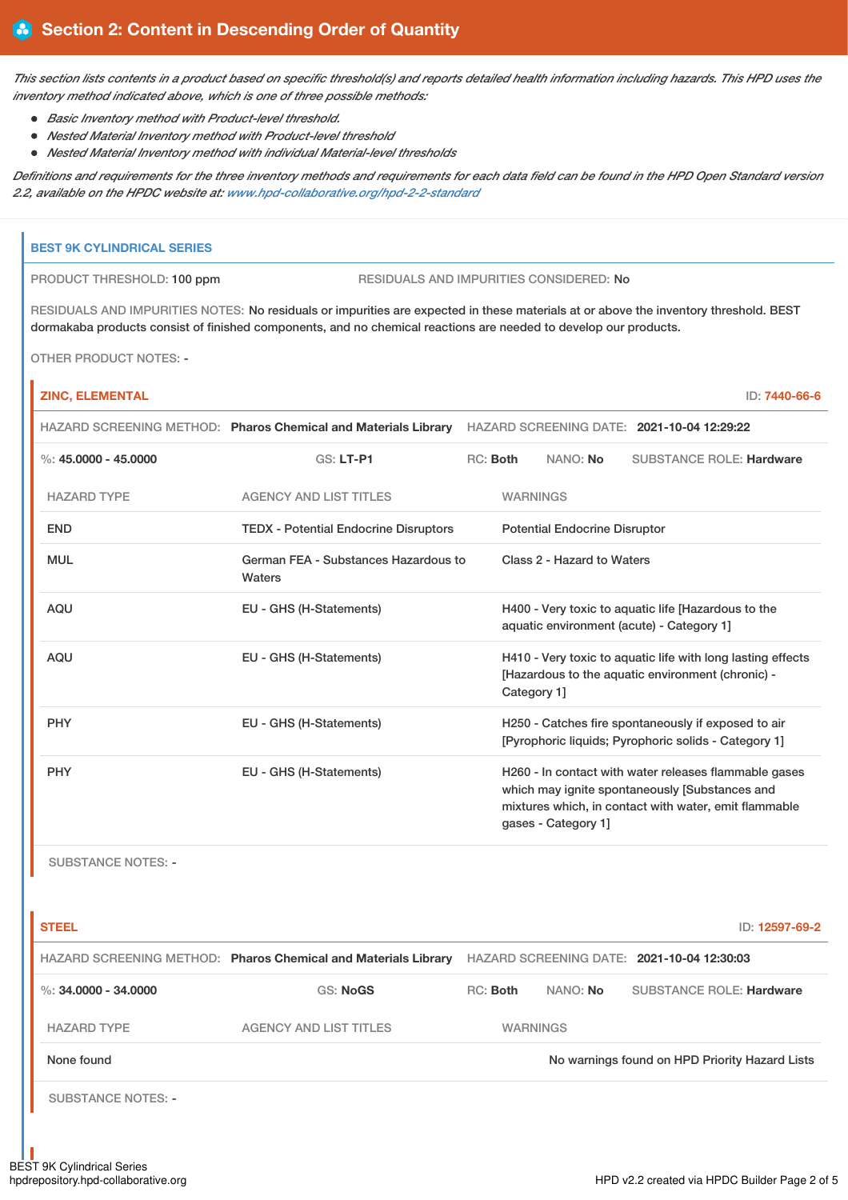This section lists contents in a product based on specific threshold(s) and reports detailed health information including hazards. This HPD uses the *inventory method indicated above, which is one of three possible methods:*

- *Basic Inventory method with Product-level threshold.*
	- *Nested Material Inventory method with Product-level threshold*
- *Nested Material Inventory method with individual Material-level thresholds*

Definitions and requirements for the three inventory methods and requirements for each data field can be found in the HPD Open Standard version *2.2, available on the HPDC website at: [www.hpd-collaborative.org/hpd-2-2-standard](https://www.hpd-collaborative.org/hpd-2-2-standard)*

### **BEST 9K CYLINDRICAL SERIES**

PRODUCT THRESHOLD: 100 ppm RESIDUALS AND IMPURITIES CONSIDERED: No

RESIDUALS AND IMPURITIES NOTES: No residuals or impurities are expected in these materials at or above the inventory threshold. BEST dormakaba products consist of finished components, and no chemical reactions are needed to develop our products.

OTHER PRODUCT NOTES: -

r

| <b>ZINC, ELEMENTAL</b> |                                                |                                                                                                           |                                                                                                                                 |                                      |                                                                                                                                                                  | ID: 7440-66-6 |
|------------------------|------------------------------------------------|-----------------------------------------------------------------------------------------------------------|---------------------------------------------------------------------------------------------------------------------------------|--------------------------------------|------------------------------------------------------------------------------------------------------------------------------------------------------------------|---------------|
|                        |                                                | HAZARD SCREENING METHOD: Pharos Chemical and Materials Library HAZARD SCREENING DATE: 2021-10-04 12:29:22 |                                                                                                                                 |                                      |                                                                                                                                                                  |               |
| %: $45.0000 - 45.0000$ | <b>GS: LT-P1</b>                               |                                                                                                           | RC: Both                                                                                                                        | NANO: No                             | <b>SUBSTANCE ROLE: Hardware</b>                                                                                                                                  |               |
| <b>HAZARD TYPE</b>     | <b>AGENCY AND LIST TITLES</b>                  |                                                                                                           | <b>WARNINGS</b>                                                                                                                 |                                      |                                                                                                                                                                  |               |
| <b>END</b>             | <b>TEDX - Potential Endocrine Disruptors</b>   |                                                                                                           |                                                                                                                                 | <b>Potential Endocrine Disruptor</b> |                                                                                                                                                                  |               |
| <b>MUL</b>             | German FEA - Substances Hazardous to<br>Waters |                                                                                                           |                                                                                                                                 | Class 2 - Hazard to Waters           |                                                                                                                                                                  |               |
| <b>AQU</b>             | EU - GHS (H-Statements)                        |                                                                                                           |                                                                                                                                 |                                      | H400 - Very toxic to aquatic life [Hazardous to the<br>aquatic environment (acute) - Category 1]                                                                 |               |
| <b>AQU</b>             | EU - GHS (H-Statements)                        |                                                                                                           | H410 - Very toxic to aquatic life with long lasting effects<br>[Hazardous to the aquatic environment (chronic) -<br>Category 1] |                                      |                                                                                                                                                                  |               |
| <b>PHY</b>             | EU - GHS (H-Statements)                        |                                                                                                           | H250 - Catches fire spontaneously if exposed to air<br>[Pyrophoric liquids; Pyrophoric solids - Category 1]                     |                                      |                                                                                                                                                                  |               |
| <b>PHY</b>             | EU - GHS (H-Statements)                        |                                                                                                           |                                                                                                                                 | gases - Category 1]                  | H260 - In contact with water releases flammable gases<br>which may ignite spontaneously [Substances and<br>mixtures which, in contact with water, emit flammable |               |

SUBSTANCE NOTES: -

| <b>STEEL</b>              |                                                                |                                            |                 | ID: 12597-69-2                                 |
|---------------------------|----------------------------------------------------------------|--------------------------------------------|-----------------|------------------------------------------------|
|                           | HAZARD SCREENING METHOD: Pharos Chemical and Materials Library | HAZARD SCREENING DATE: 2021-10-04 12:30:03 |                 |                                                |
| %: 34,0000 - 34,0000      | <b>GS: NoGS</b>                                                | $RC:$ Both                                 | NANO: No        | <b>SUBSTANCE ROLE: Hardware</b>                |
| <b>HAZARD TYPE</b>        | <b>AGENCY AND LIST TITLES</b>                                  |                                            | <b>WARNINGS</b> |                                                |
| None found                |                                                                |                                            |                 | No warnings found on HPD Priority Hazard Lists |
| <b>SUBSTANCE NOTES: -</b> |                                                                |                                            |                 |                                                |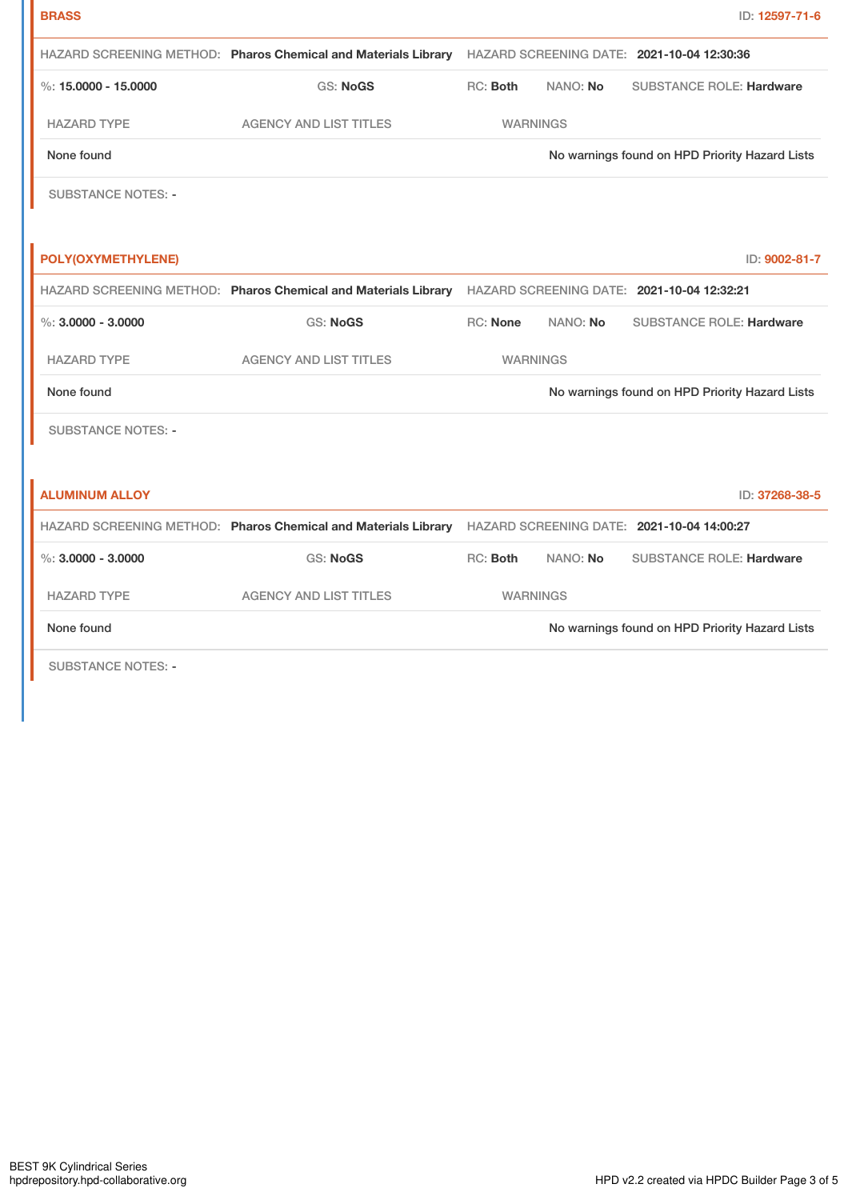| <b>BRASS</b>              |                                                                                                           |                                                                                                           |          | ID: 12597-71-6                                 |
|---------------------------|-----------------------------------------------------------------------------------------------------------|-----------------------------------------------------------------------------------------------------------|----------|------------------------------------------------|
|                           | HAZARD SCREENING METHOD: Pharos Chemical and Materials Library HAZARD SCREENING DATE: 2021-10-04 12:30:36 |                                                                                                           |          |                                                |
| %: $15,0000 - 15,0000$    | <b>GS: NoGS</b>                                                                                           | RC: Both                                                                                                  | NANO: No | <b>SUBSTANCE ROLE: Hardware</b>                |
| <b>HAZARD TYPE</b>        | <b>AGENCY AND LIST TITLES</b>                                                                             | <b>WARNINGS</b>                                                                                           |          |                                                |
| None found                |                                                                                                           | No warnings found on HPD Priority Hazard Lists                                                            |          |                                                |
| <b>SUBSTANCE NOTES: -</b> |                                                                                                           |                                                                                                           |          |                                                |
|                           |                                                                                                           |                                                                                                           |          |                                                |
| POLY(OXYMETHYLENE)        |                                                                                                           |                                                                                                           |          | ID: 9002-81-7                                  |
|                           |                                                                                                           | HAZARD SCREENING METHOD: Pharos Chemical and Materials Library HAZARD SCREENING DATE: 2021-10-04 12:32:21 |          |                                                |
| $\%$ : 3.0000 - 3.0000    | <b>GS: NoGS</b>                                                                                           | RC: None                                                                                                  | NANO: No | <b>SUBSTANCE ROLE: Hardware</b>                |
| <b>HAZARD TYPE</b>        | <b>AGENCY AND LIST TITLES</b>                                                                             | <b>WARNINGS</b>                                                                                           |          |                                                |
| None found                |                                                                                                           |                                                                                                           |          | No warnings found on HPD Priority Hazard Lists |
| <b>SUBSTANCE NOTES: -</b> |                                                                                                           |                                                                                                           |          |                                                |
|                           |                                                                                                           |                                                                                                           |          |                                                |
| <b>ALUMINUM ALLOY</b>     |                                                                                                           |                                                                                                           |          | ID: 37268-38-5                                 |
|                           | HAZARD SCREENING METHOD: Pharos Chemical and Materials Library HAZARD SCREENING DATE: 2021-10-04 14:00:27 |                                                                                                           |          |                                                |
| $\%$ : 3.0000 - 3.0000    | <b>GS: NoGS</b>                                                                                           | RC: Both                                                                                                  | NANO: No | <b>SUBSTANCE ROLE: Hardware</b>                |
| <b>HAZARD TYPE</b>        | <b>AGENCY AND LIST TITLES</b>                                                                             | <b>WARNINGS</b>                                                                                           |          |                                                |
| None found                |                                                                                                           |                                                                                                           |          | No warnings found on HPD Priority Hazard Lists |
| <b>SUBSTANCE NOTES: -</b> |                                                                                                           |                                                                                                           |          |                                                |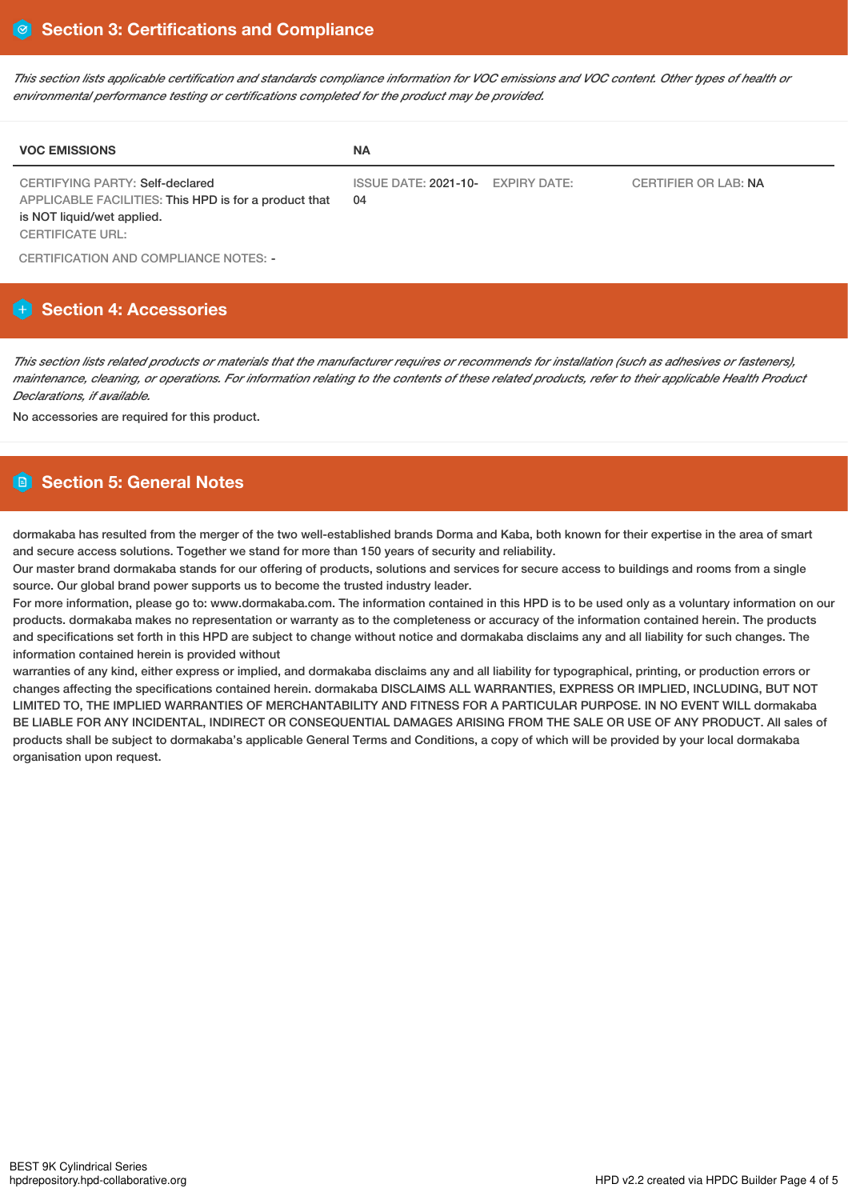This section lists applicable certification and standards compliance information for VOC emissions and VOC content. Other types of health or *environmental performance testing or certifications completed for the product may be provided.*

| <b>VOC EMISSIONS</b>                                                                                                                              | <b>NA</b>                               |                      |
|---------------------------------------------------------------------------------------------------------------------------------------------------|-----------------------------------------|----------------------|
| CERTIFYING PARTY: Self-declared<br>APPLICABLE FACILITIES: This HPD is for a product that<br>is NOT liquid/wet applied.<br><b>CERTIFICATE URL:</b> | ISSUE DATE: 2021-10- EXPIRY DATE:<br>04 | CERTIFIER OR LAB: NA |

CERTIFICATION AND COMPLIANCE NOTES: -

# **Section 4: Accessories**

This section lists related products or materials that the manufacturer requires or recommends for installation (such as adhesives or fasteners), maintenance, cleaning, or operations. For information relating to the contents of these related products, refer to their applicable Health Product *Declarations, if available.*

No accessories are required for this product.

# **Section 5: General Notes**

dormakaba has resulted from the merger of the two well-established brands Dorma and Kaba, both known for their expertise in the area of smart and secure access solutions. Together we stand for more than 150 years of security and reliability.

Our master brand dormakaba stands for our offering of products, solutions and services for secure access to buildings and rooms from a single source. Our global brand power supports us to become the trusted industry leader.

For more information, please go to: www.dormakaba.com. The information contained in this HPD is to be used only as a voluntary information on our products. dormakaba makes no representation or warranty as to the completeness or accuracy of the information contained herein. The products and specifications set forth in this HPD are subject to change without notice and dormakaba disclaims any and all liability for such changes. The information contained herein is provided without

warranties of any kind, either express or implied, and dormakaba disclaims any and all liability for typographical, printing, or production errors or changes affecting the specifications contained herein. dormakaba DISCLAIMS ALL WARRANTIES, EXPRESS OR IMPLIED, INCLUDING, BUT NOT LIMITED TO, THE IMPLIED WARRANTIES OF MERCHANTABILITY AND FITNESS FOR A PARTICULAR PURPOSE. IN NO EVENT WILL dormakaba BE LIABLE FOR ANY INCIDENTAL, INDIRECT OR CONSEQUENTIAL DAMAGES ARISING FROM THE SALE OR USE OF ANY PRODUCT. All sales of products shall be subject to dormakaba's applicable General Terms and Conditions, a copy of which will be provided by your local dormakaba organisation upon request.